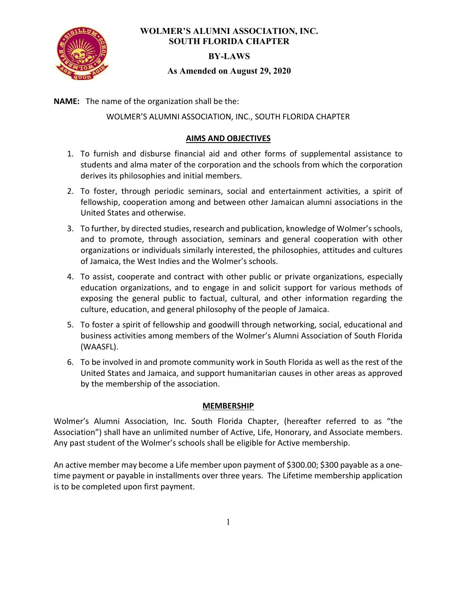

# WOLMER'S ALUMNI ASSOCIATION, INC. SOUTH FLORIDA CHAPTER

### BY-LAWS

### As Amended on August 29, 2020

NAME: The name of the organization shall be the:

WOLMER'S ALUMNI ASSOCIATION, INC., SOUTH FLORIDA CHAPTER

## AIMS AND OBJECTIVES

- 1. To furnish and disburse financial aid and other forms of supplemental assistance to students and alma mater of the corporation and the schools from which the corporation derives its philosophies and initial members.
- 2. To foster, through periodic seminars, social and entertainment activities, a spirit of fellowship, cooperation among and between other Jamaican alumni associations in the United States and otherwise.
- 3. To further, by directed studies, research and publication, knowledge of Wolmer's schools, and to promote, through association, seminars and general cooperation with other organizations or individuals similarly interested, the philosophies, attitudes and cultures of Jamaica, the West Indies and the Wolmer's schools.
- 4. To assist, cooperate and contract with other public or private organizations, especially education organizations, and to engage in and solicit support for various methods of exposing the general public to factual, cultural, and other information regarding the culture, education, and general philosophy of the people of Jamaica.
- 5. To foster a spirit of fellowship and goodwill through networking, social, educational and business activities among members of the Wolmer's Alumni Association of South Florida (WAASFL).
- 6. To be involved in and promote community work in South Florida as well as the rest of the United States and Jamaica, and support humanitarian causes in other areas as approved by the membership of the association.

### MEMBERSHIP

Wolmer's Alumni Association, Inc. South Florida Chapter, (hereafter referred to as "the Association") shall have an unlimited number of Active, Life, Honorary, and Associate members. Any past student of the Wolmer's schools shall be eligible for Active membership.

An active member may become a Life member upon payment of \$300.00; \$300 payable as a onetime payment or payable in installments over three years. The Lifetime membership application is to be completed upon first payment.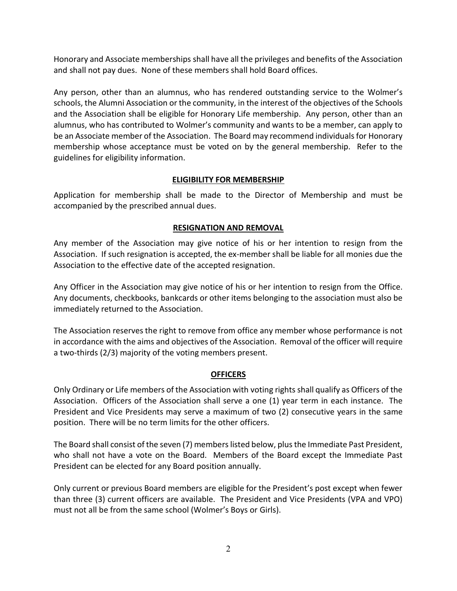Honorary and Associate memberships shall have all the privileges and benefits of the Association and shall not pay dues. None of these members shall hold Board offices.

Any person, other than an alumnus, who has rendered outstanding service to the Wolmer's schools, the Alumni Association or the community, in the interest of the objectives of the Schools and the Association shall be eligible for Honorary Life membership. Any person, other than an alumnus, who has contributed to Wolmer's community and wants to be a member, can apply to be an Associate member of the Association. The Board may recommend individuals for Honorary membership whose acceptance must be voted on by the general membership. Refer to the guidelines for eligibility information.

## ELIGIBILITY FOR MEMBERSHIP

Application for membership shall be made to the Director of Membership and must be accompanied by the prescribed annual dues.

# RESIGNATION AND REMOVAL

Any member of the Association may give notice of his or her intention to resign from the Association. If such resignation is accepted, the ex-member shall be liable for all monies due the Association to the effective date of the accepted resignation.

Any Officer in the Association may give notice of his or her intention to resign from the Office. Any documents, checkbooks, bankcards or other items belonging to the association must also be immediately returned to the Association.

The Association reserves the right to remove from office any member whose performance is not in accordance with the aims and objectives of the Association. Removal of the officer will require a two-thirds (2/3) majority of the voting members present.

# **OFFICERS**

Only Ordinary or Life members of the Association with voting rights shall qualify as Officers of the Association. Officers of the Association shall serve a one (1) year term in each instance. The President and Vice Presidents may serve a maximum of two (2) consecutive years in the same position. There will be no term limits for the other officers.

The Board shall consist of the seven (7) members listed below, plus the Immediate Past President, who shall not have a vote on the Board. Members of the Board except the Immediate Past President can be elected for any Board position annually.

Only current or previous Board members are eligible for the President's post except when fewer than three (3) current officers are available. The President and Vice Presidents (VPA and VPO) must not all be from the same school (Wolmer's Boys or Girls).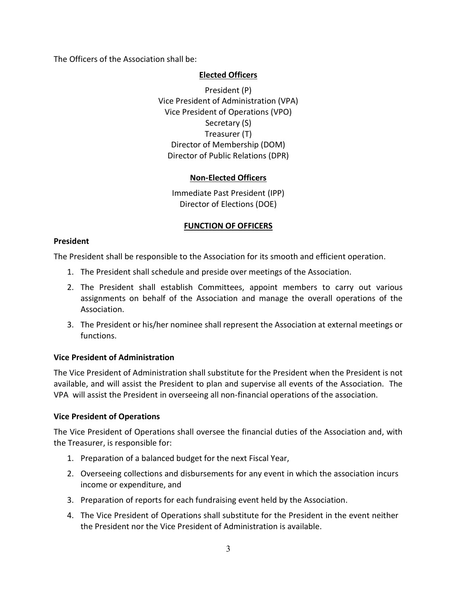The Officers of the Association shall be:

### Elected Officers

 President (P) Vice President of Administration (VPA) Vice President of Operations (VPO) Secretary (S) Treasurer (T) Director of Membership (DOM) Director of Public Relations (DPR)

# Non-Elected Officers

Immediate Past President (IPP) Director of Elections (DOE)

# FUNCTION OF OFFICERS

### President

The President shall be responsible to the Association for its smooth and efficient operation.

- 1. The President shall schedule and preside over meetings of the Association.
- 2. The President shall establish Committees, appoint members to carry out various assignments on behalf of the Association and manage the overall operations of the Association.
- 3. The President or his/her nominee shall represent the Association at external meetings or functions.

### Vice President of Administration

The Vice President of Administration shall substitute for the President when the President is not available, and will assist the President to plan and supervise all events of the Association. The VPA will assist the President in overseeing all non-financial operations of the association.

### Vice President of Operations

The Vice President of Operations shall oversee the financial duties of the Association and, with the Treasurer, is responsible for:

- 1. Preparation of a balanced budget for the next Fiscal Year,
- 2. Overseeing collections and disbursements for any event in which the association incurs income or expenditure, and
- 3. Preparation of reports for each fundraising event held by the Association.
- 4. The Vice President of Operations shall substitute for the President in the event neither the President nor the Vice President of Administration is available.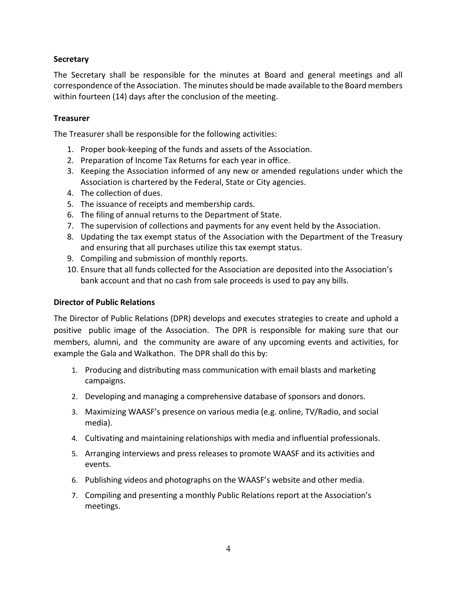## **Secretary**

The Secretary shall be responsible for the minutes at Board and general meetings and all correspondence of the Association. The minutes should be made available to the Board members within fourteen (14) days after the conclusion of the meeting.

### **Treasurer**

The Treasurer shall be responsible for the following activities:

- 1. Proper book-keeping of the funds and assets of the Association.
- 2. Preparation of Income Tax Returns for each year in office.
- 3. Keeping the Association informed of any new or amended regulations under which the Association is chartered by the Federal, State or City agencies.
- 4. The collection of dues.
- 5. The issuance of receipts and membership cards.
- 6. The filing of annual returns to the Department of State.
- 7. The supervision of collections and payments for any event held by the Association.
- 8. Updating the tax exempt status of the Association with the Department of the Treasury and ensuring that all purchases utilize this tax exempt status.
- 9. Compiling and submission of monthly reports.
- 10. Ensure that all funds collected for the Association are deposited into the Association's bank account and that no cash from sale proceeds is used to pay any bills.

### Director of Public Relations

The Director of Public Relations (DPR) develops and executes strategies to create and uphold a positive public image of the Association. The DPR is responsible for making sure that our members, alumni, and the community are aware of any upcoming events and activities, for example the Gala and Walkathon. The DPR shall do this by:

- 1. Producing and distributing mass communication with email blasts and marketing campaigns.
- 2. Developing and managing a comprehensive database of sponsors and donors.
- 3. Maximizing WAASF's presence on various media (e.g. online, TV/Radio, and social media).
- 4. Cultivating and maintaining relationships with media and influential professionals.
- 5. Arranging interviews and press releases to promote WAASF and its activities and events.
- 6. Publishing videos and photographs on the WAASF's website and other media.
- 7. Compiling and presenting a monthly Public Relations report at the Association's meetings.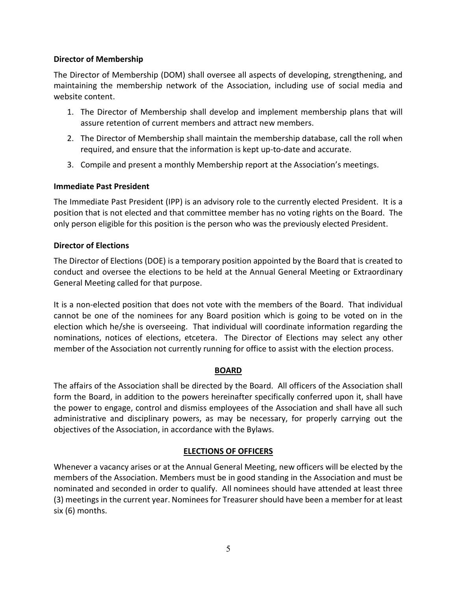## Director of Membership

The Director of Membership (DOM) shall oversee all aspects of developing, strengthening, and maintaining the membership network of the Association, including use of social media and website content.

- 1. The Director of Membership shall develop and implement membership plans that will assure retention of current members and attract new members.
- 2. The Director of Membership shall maintain the membership database, call the roll when required, and ensure that the information is kept up-to-date and accurate.
- 3. Compile and present a monthly Membership report at the Association's meetings.

# Immediate Past President

The Immediate Past President (IPP) is an advisory role to the currently elected President. It is a position that is not elected and that committee member has no voting rights on the Board. The only person eligible for this position is the person who was the previously elected President.

# Director of Elections

The Director of Elections (DOE) is a temporary position appointed by the Board that is created to conduct and oversee the elections to be held at the Annual General Meeting or Extraordinary General Meeting called for that purpose.

It is a non-elected position that does not vote with the members of the Board. That individual cannot be one of the nominees for any Board position which is going to be voted on in the election which he/she is overseeing. That individual will coordinate information regarding the nominations, notices of elections, etcetera. The Director of Elections may select any other member of the Association not currently running for office to assist with the election process.

# BOARD

The affairs of the Association shall be directed by the Board. All officers of the Association shall form the Board, in addition to the powers hereinafter specifically conferred upon it, shall have the power to engage, control and dismiss employees of the Association and shall have all such administrative and disciplinary powers, as may be necessary, for properly carrying out the objectives of the Association, in accordance with the Bylaws.

# ELECTIONS OF OFFICERS

Whenever a vacancy arises or at the Annual General Meeting, new officers will be elected by the members of the Association. Members must be in good standing in the Association and must be nominated and seconded in order to qualify. All nominees should have attended at least three (3) meetings in the current year. Nominees for Treasurer should have been a member for at least six (6) months.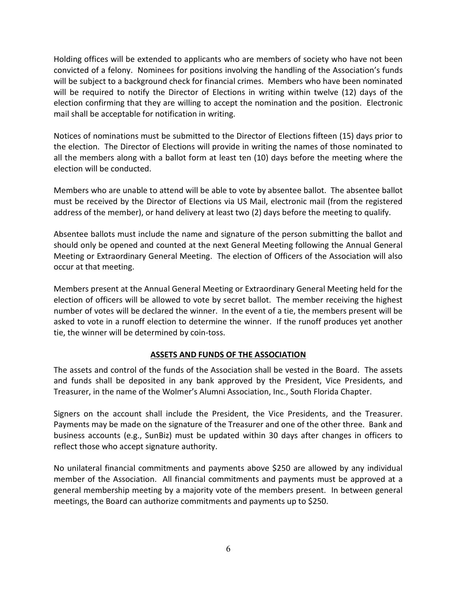Holding offices will be extended to applicants who are members of society who have not been convicted of a felony. Nominees for positions involving the handling of the Association's funds will be subject to a background check for financial crimes. Members who have been nominated will be required to notify the Director of Elections in writing within twelve (12) days of the election confirming that they are willing to accept the nomination and the position. Electronic mail shall be acceptable for notification in writing.

Notices of nominations must be submitted to the Director of Elections fifteen (15) days prior to the election. The Director of Elections will provide in writing the names of those nominated to all the members along with a ballot form at least ten (10) days before the meeting where the election will be conducted.

Members who are unable to attend will be able to vote by absentee ballot. The absentee ballot must be received by the Director of Elections via US Mail, electronic mail (from the registered address of the member), or hand delivery at least two (2) days before the meeting to qualify.

Absentee ballots must include the name and signature of the person submitting the ballot and should only be opened and counted at the next General Meeting following the Annual General Meeting or Extraordinary General Meeting. The election of Officers of the Association will also occur at that meeting.

Members present at the Annual General Meeting or Extraordinary General Meeting held for the election of officers will be allowed to vote by secret ballot. The member receiving the highest number of votes will be declared the winner. In the event of a tie, the members present will be asked to vote in a runoff election to determine the winner. If the runoff produces yet another tie, the winner will be determined by coin-toss.

# ASSETS AND FUNDS OF THE ASSOCIATION

The assets and control of the funds of the Association shall be vested in the Board. The assets and funds shall be deposited in any bank approved by the President, Vice Presidents, and Treasurer, in the name of the Wolmer's Alumni Association, Inc., South Florida Chapter.

Signers on the account shall include the President, the Vice Presidents, and the Treasurer. Payments may be made on the signature of the Treasurer and one of the other three. Bank and business accounts (e.g., SunBiz) must be updated within 30 days after changes in officers to reflect those who accept signature authority.

No unilateral financial commitments and payments above \$250 are allowed by any individual member of the Association. All financial commitments and payments must be approved at a general membership meeting by a majority vote of the members present. In between general meetings, the Board can authorize commitments and payments up to \$250.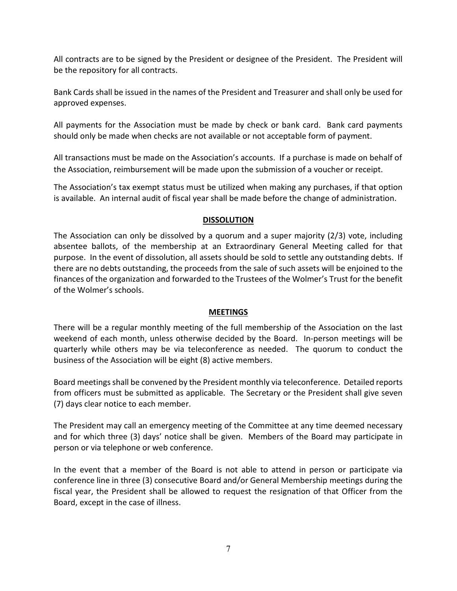All contracts are to be signed by the President or designee of the President. The President will be the repository for all contracts.

Bank Cards shall be issued in the names of the President and Treasurer and shall only be used for approved expenses.

All payments for the Association must be made by check or bank card. Bank card payments should only be made when checks are not available or not acceptable form of payment.

All transactions must be made on the Association's accounts. If a purchase is made on behalf of the Association, reimbursement will be made upon the submission of a voucher or receipt.

The Association's tax exempt status must be utilized when making any purchases, if that option is available. An internal audit of fiscal year shall be made before the change of administration.

## DISSOLUTION

The Association can only be dissolved by a quorum and a super majority (2/3) vote, including absentee ballots, of the membership at an Extraordinary General Meeting called for that purpose. In the event of dissolution, all assets should be sold to settle any outstanding debts. If there are no debts outstanding, the proceeds from the sale of such assets will be enjoined to the finances of the organization and forwarded to the Trustees of the Wolmer's Trust for the benefit of the Wolmer's schools.

### **MEETINGS**

There will be a regular monthly meeting of the full membership of the Association on the last weekend of each month, unless otherwise decided by the Board. In-person meetings will be quarterly while others may be via teleconference as needed. The quorum to conduct the business of the Association will be eight (8) active members.

Board meetings shall be convened by the President monthly via teleconference. Detailed reports from officers must be submitted as applicable. The Secretary or the President shall give seven (7) days clear notice to each member.

The President may call an emergency meeting of the Committee at any time deemed necessary and for which three (3) days' notice shall be given. Members of the Board may participate in person or via telephone or web conference.

In the event that a member of the Board is not able to attend in person or participate via conference line in three (3) consecutive Board and/or General Membership meetings during the fiscal year, the President shall be allowed to request the resignation of that Officer from the Board, except in the case of illness.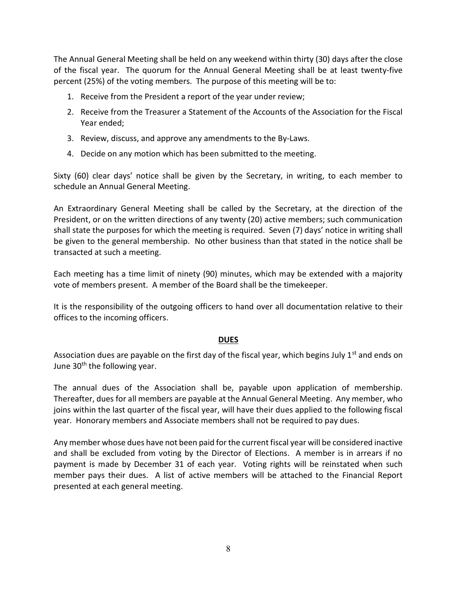The Annual General Meeting shall be held on any weekend within thirty (30) days after the close of the fiscal year. The quorum for the Annual General Meeting shall be at least twenty-five percent (25%) of the voting members. The purpose of this meeting will be to:

- 1. Receive from the President a report of the year under review;
- 2. Receive from the Treasurer a Statement of the Accounts of the Association for the Fiscal Year ended;
- 3. Review, discuss, and approve any amendments to the By-Laws.
- 4. Decide on any motion which has been submitted to the meeting.

Sixty (60) clear days' notice shall be given by the Secretary, in writing, to each member to schedule an Annual General Meeting.

An Extraordinary General Meeting shall be called by the Secretary, at the direction of the President, or on the written directions of any twenty (20) active members; such communication shall state the purposes for which the meeting is required. Seven (7) days' notice in writing shall be given to the general membership. No other business than that stated in the notice shall be transacted at such a meeting.

Each meeting has a time limit of ninety (90) minutes, which may be extended with a majority vote of members present. A member of the Board shall be the timekeeper.

It is the responsibility of the outgoing officers to hand over all documentation relative to their offices to the incoming officers.

### DUES

Association dues are payable on the first day of the fiscal year, which begins July 1<sup>st</sup> and ends on June 30<sup>th</sup> the following year.

The annual dues of the Association shall be, payable upon application of membership. Thereafter, dues for all members are payable at the Annual General Meeting. Any member, who joins within the last quarter of the fiscal year, will have their dues applied to the following fiscal year. Honorary members and Associate members shall not be required to pay dues.

Any member whose dues have not been paid for the current fiscal year will be considered inactive and shall be excluded from voting by the Director of Elections. A member is in arrears if no payment is made by December 31 of each year. Voting rights will be reinstated when such member pays their dues. A list of active members will be attached to the Financial Report presented at each general meeting.